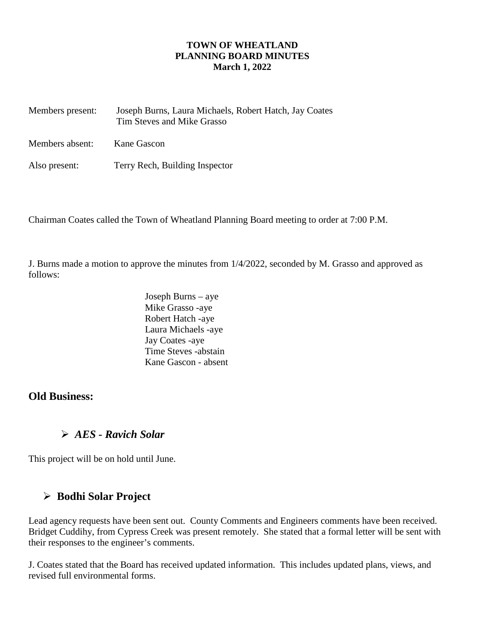### **TOWN OF WHEATLAND PLANNING BOARD MINUTES March 1, 2022**

| Members present: | Joseph Burns, Laura Michaels, Robert Hatch, Jay Coates<br>Tim Steves and Mike Grasso |  |  |
|------------------|--------------------------------------------------------------------------------------|--|--|
| Members absent:  | Kane Gascon                                                                          |  |  |
| Also present:    | Terry Rech, Building Inspector                                                       |  |  |

Chairman Coates called the Town of Wheatland Planning Board meeting to order at 7:00 P.M.

J. Burns made a motion to approve the minutes from 1/4/2022, seconded by M. Grasso and approved as follows:

> Joseph Burns – aye Mike Grasso -aye Robert Hatch -aye Laura Michaels -aye Jay Coates -aye Time Steves -abstain Kane Gascon - absent

## **Old Business:**

## *AES - Ravich Solar*

This project will be on hold until June.

# **Bodhi Solar Project**

Lead agency requests have been sent out. County Comments and Engineers comments have been received. Bridget Cuddihy, from Cypress Creek was present remotely. She stated that a formal letter will be sent with their responses to the engineer's comments.

J. Coates stated that the Board has received updated information. This includes updated plans, views, and revised full environmental forms.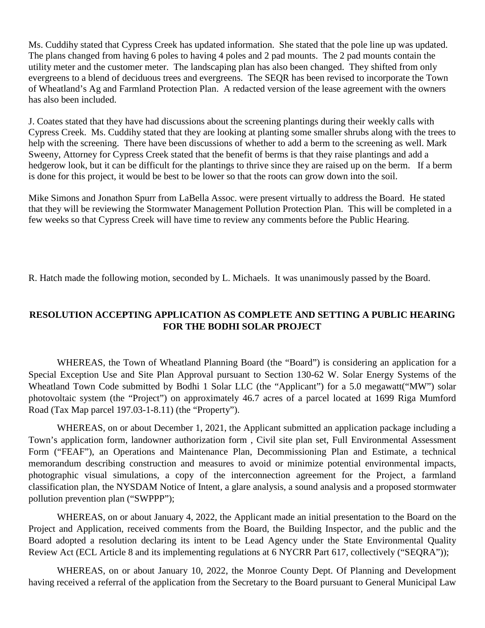Ms. Cuddihy stated that Cypress Creek has updated information. She stated that the pole line up was updated. The plans changed from having 6 poles to having 4 poles and 2 pad mounts. The 2 pad mounts contain the utility meter and the customer meter. The landscaping plan has also been changed. They shifted from only evergreens to a blend of deciduous trees and evergreens. The SEQR has been revised to incorporate the Town of Wheatland's Ag and Farmland Protection Plan. A redacted version of the lease agreement with the owners has also been included.

J. Coates stated that they have had discussions about the screening plantings during their weekly calls with Cypress Creek. Ms. Cuddihy stated that they are looking at planting some smaller shrubs along with the trees to help with the screening. There have been discussions of whether to add a berm to the screening as well. Mark Sweeny, Attorney for Cypress Creek stated that the benefit of berms is that they raise plantings and add a hedgerow look, but it can be difficult for the plantings to thrive since they are raised up on the berm. If a berm is done for this project, it would be best to be lower so that the roots can grow down into the soil.

Mike Simons and Jonathon Spurr from LaBella Assoc. were present virtually to address the Board. He stated that they will be reviewing the Stormwater Management Pollution Protection Plan. This will be completed in a few weeks so that Cypress Creek will have time to review any comments before the Public Hearing.

R. Hatch made the following motion, seconded by L. Michaels. It was unanimously passed by the Board.

### **RESOLUTION ACCEPTING APPLICATION AS COMPLETE AND SETTING A PUBLIC HEARING FOR THE BODHI SOLAR PROJECT**

WHEREAS, the Town of Wheatland Planning Board (the "Board") is considering an application for a Special Exception Use and Site Plan Approval pursuant to Section 130-62 W. Solar Energy Systems of the Wheatland Town Code submitted by Bodhi 1 Solar LLC (the "Applicant") for a 5.0 megawatt("MW") solar photovoltaic system (the "Project") on approximately 46.7 acres of a parcel located at 1699 Riga Mumford Road (Tax Map parcel 197.03-1-8.11) (the "Property").

WHEREAS, on or about December 1, 2021, the Applicant submitted an application package including a Town's application form, landowner authorization form , Civil site plan set, Full Environmental Assessment Form ("FEAF"), an Operations and Maintenance Plan, Decommissioning Plan and Estimate, a technical memorandum describing construction and measures to avoid or minimize potential environmental impacts, photographic visual simulations, a copy of the interconnection agreement for the Project, a farmland classification plan, the NYSDAM Notice of Intent, a glare analysis, a sound analysis and a proposed stormwater pollution prevention plan ("SWPPP");

WHEREAS, on or about January 4, 2022, the Applicant made an initial presentation to the Board on the Project and Application, received comments from the Board, the Building Inspector, and the public and the Board adopted a resolution declaring its intent to be Lead Agency under the State Environmental Quality Review Act (ECL Article 8 and its implementing regulations at 6 NYCRR Part 617, collectively ("SEQRA"));

WHEREAS, on or about January 10, 2022, the Monroe County Dept. Of Planning and Development having received a referral of the application from the Secretary to the Board pursuant to General Municipal Law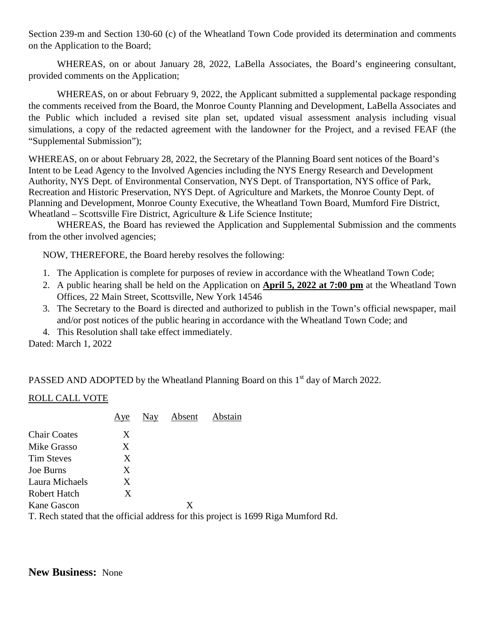Section 239-m and Section 130-60 (c) of the Wheatland Town Code provided its determination and comments on the Application to the Board;

WHEREAS, on or about January 28, 2022, LaBella Associates, the Board's engineering consultant, provided comments on the Application;

WHEREAS, on or about February 9, 2022, the Applicant submitted a supplemental package responding the comments received from the Board, the Monroe County Planning and Development, LaBella Associates and the Public which included a revised site plan set, updated visual assessment analysis including visual simulations, a copy of the redacted agreement with the landowner for the Project, and a revised FEAF (the "Supplemental Submission");

WHEREAS, on or about February 28, 2022, the Secretary of the Planning Board sent notices of the Board's Intent to be Lead Agency to the Involved Agencies including the NYS Energy Research and Development Authority, NYS Dept. of Environmental Conservation, NYS Dept. of Transportation, NYS office of Park, Recreation and Historic Preservation, NYS Dept. of Agriculture and Markets, the Monroe County Dept. of Planning and Development, Monroe County Executive, the Wheatland Town Board, Mumford Fire District, Wheatland – Scottsville Fire District, Agriculture & Life Science Institute;

WHEREAS, the Board has reviewed the Application and Supplemental Submission and the comments from the other involved agencies;

NOW, THEREFORE, the Board hereby resolves the following:

- 1. The Application is complete for purposes of review in accordance with the Wheatland Town Code;
- 2. A public hearing shall be held on the Application on **April 5, 2022 at 7:00 pm** at the Wheatland Town Offices, 22 Main Street, Scottsville, New York 14546
- 3. The Secretary to the Board is directed and authorized to publish in the Town's official newspaper, mail and/or post notices of the public hearing in accordance with the Wheatland Town Code; and
- 4. This Resolution shall take effect immediately.

Dated: March 1, 2022

PASSED AND ADOPTED by the Wheatland Planning Board on this  $1<sup>st</sup>$  day of March 2022.

#### ROLL CALL VOTE

|                     | Aye | Nay | Absent | Abstain                                                                            |
|---------------------|-----|-----|--------|------------------------------------------------------------------------------------|
| <b>Chair Coates</b> | X   |     |        |                                                                                    |
| Mike Grasso         | X   |     |        |                                                                                    |
| <b>Tim Steves</b>   | X   |     |        |                                                                                    |
| Joe Burns           | X   |     |        |                                                                                    |
| Laura Michaels      | X   |     |        |                                                                                    |
| Robert Hatch        | X   |     |        |                                                                                    |
| Kane Gascon         |     |     | X      |                                                                                    |
|                     |     |     |        | T. Rech stated that the official address for this project is 1699 Riga Mumford Rd. |

**New Business:** None